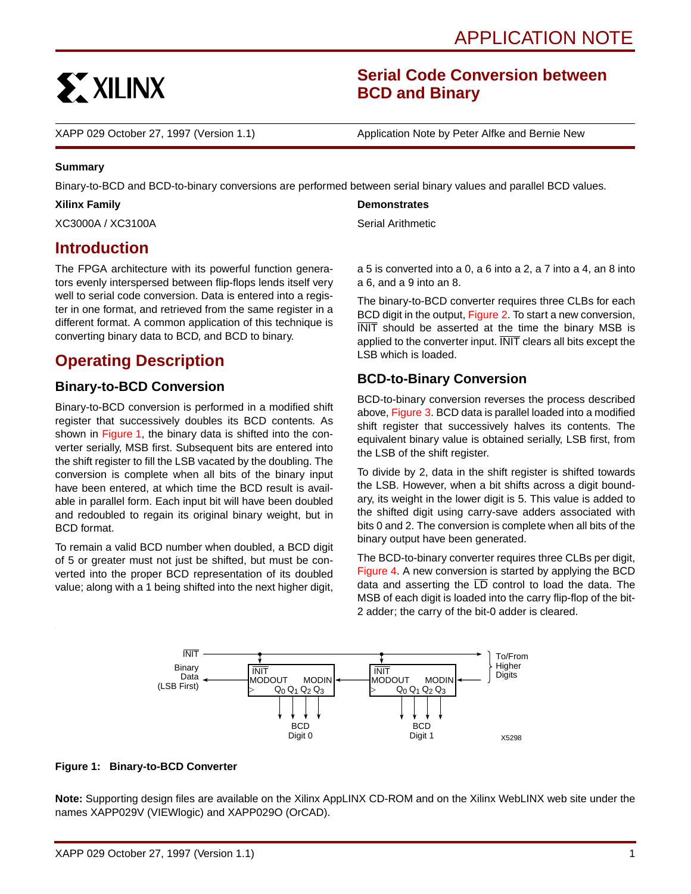

# **Serial Code Conversion between BCD and Binary**

XAPP 029 October 27, 1997 (Version 1.1) Application Note by Peter Alfke and Bernie New

#### **Summary**

Binary-to-BCD and BCD-to-binary conversions are performed between serial binary values and parallel BCD values.

### **Xilinx Family**

XC3000A / XC3100A

## **Introduction**

The FPGA architecture with its powerful function generators evenly interspersed between flip-flops lends itself very well to serial code conversion. Data is entered into a register in one format, and retrieved from the same register in a different format. A common application of this technique is converting binary data to BCD, and BCD to binary.

# **Operating Description**

## **Binary-to-BCD Conversion**

Binary-to-BCD conversion is performed in a modified shift register that successively doubles its BCD contents. As shown in Figure 1, the binary data is shifted into the converter serially, MSB first. Subsequent bits are entered into the shift register to fill the LSB vacated by the doubling. The conversion is complete when all bits of the binary input have been entered, at which time the BCD result is available in parallel form. Each input bit will have been doubled and redoubled to regain its original binary weight, but in BCD format.

To remain a valid BCD number when doubled, a BCD digit of 5 or greater must not just be shifted, but must be converted into the proper BCD representation of its doubled value; along with a 1 being shifted into the next higher digit,

### **Demonstrates**

Serial Arithmetic

a 5 is converted into a 0, a 6 into a 2, a 7 into a 4, an 8 into a 6, and a 9 into an 8.

The binary-to-BCD converter requires three CLBs for each BCD digit in the output, [Figure 2.](#page-1-0) To start a new conversion, INIT should be asserted at the time the binary MSB is applied to the converter input. INIT clears all bits except the LSB which is loaded.

## **BCD-to-Binary Conversion**

BCD-to-binary conversion reverses the process described above, [Figure 3.](#page-2-0) BCD data is parallel loaded into a modified shift register that successively halves its contents. The equivalent binary value is obtained serially, LSB first, from the LSB of the shift register.

To divide by 2, data in the shift register is shifted towards the LSB. However, when a bit shifts across a digit boundary, its weight in the lower digit is 5. This value is added to the shifted digit using carry-save adders associated with bits 0 and 2. The conversion is complete when all bits of the binary output have been generated.

The BCD-to-binary converter requires three CLBs per digit, [Figure 4](#page-2-0). A new conversion is started by applying the BCD data and asserting the  $\overline{LD}$  control to load the data. The MSB of each digit is loaded into the carry flip-flop of the bit-2 adder; the carry of the bit-0 adder is cleared.



### **Figure 1: Binary-to-BCD Converter**

**Note:** [Supporting design files are available on the Xilinx AppLINX CD-ROM and on the Xilinx WebLINX web site under the](http://www.xilinx.com/techdocs/htm_index/app_xapp.htm) names XAPP029V (VIEWlogic) and XAPP029O (OrCAD).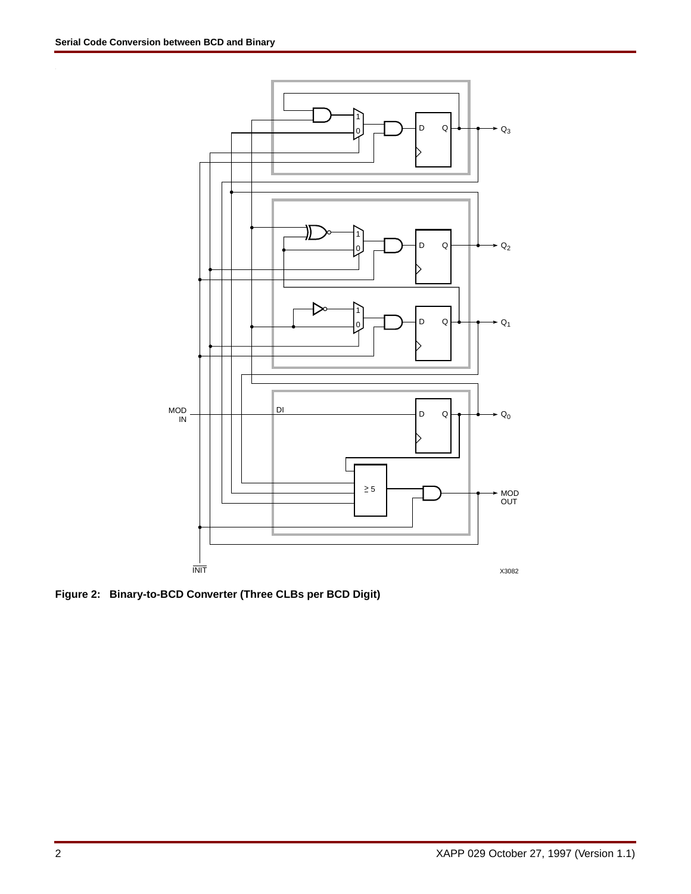<span id="page-1-0"></span>

**Figure 2: Binary-to-BCD Converter (Three CLBs per BCD Digit)**